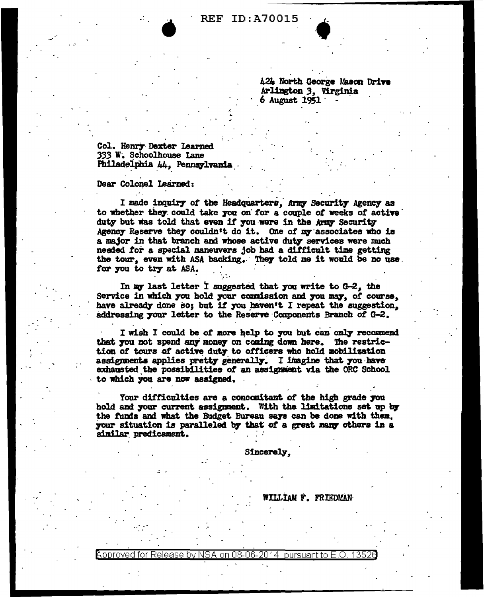## **REF ID: A70015**

424 North George Mason Drive Arlington 3, Virginia **6 August 1951** 

Col. Henry Dexter Learned 333 W. Schoolhouse Lane Philadelphia 44, Pennsylvania.

## Dear Colonel Learned:

I made inquiry of the Headquarters, Army Security Agency as to whether they could take you on for a couple of weeks of active duty but was told that even if you were in the Army Security Agency Reserve they couldn't do it. One of my associates who is a major in that branch and whose active duty services were much needed for a special maneuvers job had a difficult time getting the tour, even with ASA backing. They told me it would be no use. for you to try at ASA.

In my last letter I suggested that you write to G-2, the Service in which you hold your commission and you may, of course, have already done so; but if you haven't I repeat the suggestion. addressing your letter to the Reserve Components Branch of G-2.

I wish I could be of more help to you but can only recommend that you not spend any money on coming down here. The restriction of tours of active duty to officers who hold mobilization assignments applies pretty generally. I imagine that you have exhausted the possibilities of an assignment via the ORC School to which you are now assigned.

Your difficulties are a concomitant of the high grade you hold and your current assignment. With the limitations set up by the funds and what the Budget Bureau says can be done with them. your situation is paralleled by that of a great many others in a similar predicament.

**Sincerely.** 

WILLIAM F. FRIEDMAN

Approved for Release by NSA on 08-06-2014  $\,$  pursuant to E.O..  $\,$ 1352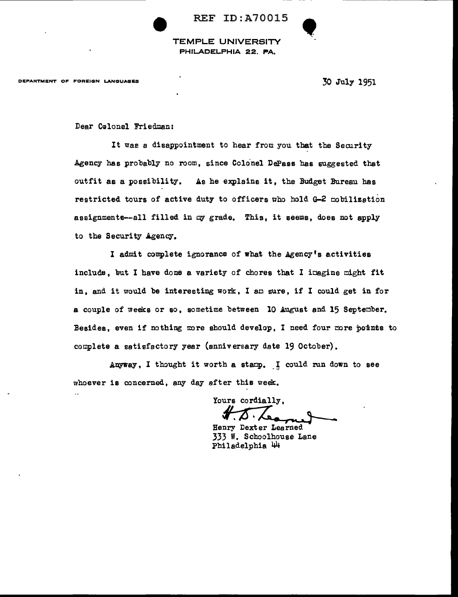

TEMPLE UNIVERSITY PHILADELPHIA 22, PA,

DEPARTMENT OF FOREIGN LANGUAGES

*30* July 1951

**!** 

Dear C@lonel Friedman:

It was a disappointment to hear from you that the Security Agency has probably no room, since Colonel DePass bas suggested that outfit as a possibility. As he explains it, the Budget Bureau has restricted tours of active duty to officers who hold G-2 mobilization assignments--all filled in *cy* grade. This, it seems, does not apply to the Security Agency.

I admit complete ignorance of what the Agency's activities include, but I have done a variety of chores that I imagine might fit in, and it would be interesting work, I am sure, if I could get in for a couple of weeks or so, sometime between 10 August and 15 September. Besides, even if nothing more should develop, I need four more points to complete a satisfactory year (anniversary date 19 October).

Anyway, I thought it worth a stamp. I could run down to see whoever is concerned, any day after this week.

Yours cordially,

Henry Dexter Learned. 333 W. Schoolhouse Lane Philadelphia 44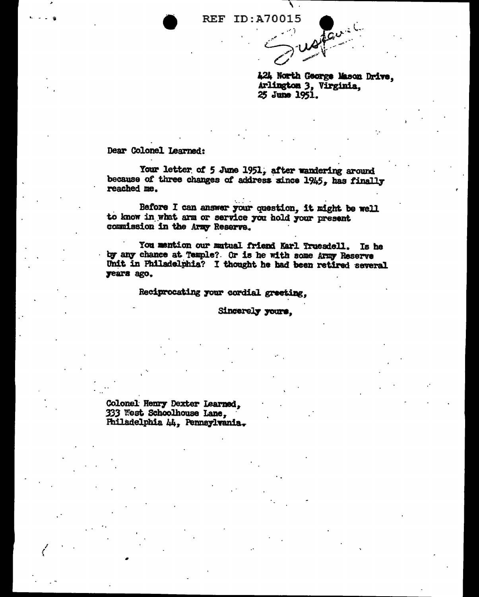**REF ID:A70015** 

424 North George Mason Drive, Arlington 3, Virginia, 25 June 1951.

Dear Colonel Learned:

Your letter of 5 June 1951, after wandering around because of three changes of address since 1945, has finally reached me.

Before I can answer your question, it might be well to know in what arm or service you hold your present commission in the Army Reserve.

You mention our mutual friend Karl Truesdell. Is he by any chance at Temple? Or is he with some Army Reserve Unit in Philadelphia? I thought he had been retired several years ago.

Reciprocating your cordial greeting.

Sincerely yours.

Colonel Henry Dexter Learned, 333 West Schoolhouse Lane, Philadelphia 44, Pennsylvania.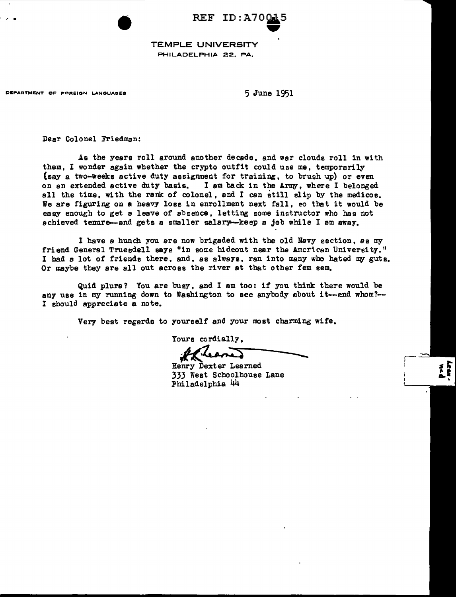$\begin{array}{ccc} \text{REF ID: A70015} \end{array}$ 45

TEMPLE UNIVERSITY PHILADELPHIA 22, PA,

DEPARTMENT OF FOREIGN LANGUAGES 6 1951

Dear Colonel Friedman:

As the years roll around another decsde, and war clouds roll in with them, I wonder again whether the crypto outfit could use me, temporarily (say a two-weeks active duty assignment for training, to brush up) or even on an extended active duty basis. I am back in the Army, where I belonged all the time, with the rank of colonel, and I can still slip by the medicos. We are figuring on a heavy loss in enrollment next fall, so that it would be easy enough to get a leave of sbeence, letting some instructor who has not achieved tenure--and gets a smaller salary--keep a job while I am away.

I have a hunch you are now brigaded with the old Navy section, as my friend General Truesdell says "in some hideout near the Amcrican University." I had a lot of friends there, and, as always, ran into many who hated my guts. Or maybe they are all out across the river st that other fem sem.

Quid plure? You are busy, and I am too: if you think there would be any use in my running down to Washington to see anybody about it--and whom?--I should appreciate a note.

Very best regards to yourself and your most charming wife.

Philadelphia 44

Yours cordially,

Henry Dexter Learned 333 West Schoolhouse Lane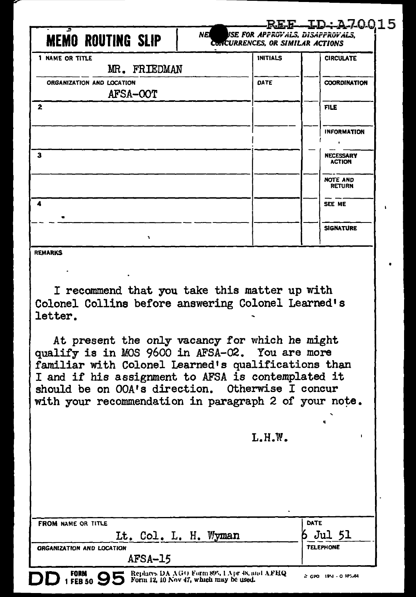|                                                                     |                 | <u>REF-ID:A70015</u><br>NEI VSE FOR APPROVALS, DISAPPROVALS, |  |
|---------------------------------------------------------------------|-----------------|--------------------------------------------------------------|--|
| <b>MEMO ROUTING SLIP</b><br><b>CONCURRENCES, OR SIMILAR ACTIONS</b> |                 |                                                              |  |
| 1 NAME OR TITLE<br>MR. FRIEDMAN                                     | <b>INITIALS</b> | <b>CIRCULATE</b>                                             |  |
| ORGANIZATION AND LOCATION<br>AFSA-OOT                               | DATE            | <b>COORDINATION</b>                                          |  |
| $\mathbf{2}$                                                        |                 | <b>FILE</b>                                                  |  |
|                                                                     |                 | <b>INFORMATION</b>                                           |  |
| 3                                                                   |                 | <b>NECESSARY</b><br><b>ACTION</b>                            |  |
|                                                                     |                 | <b>NOTE AND</b><br><b>RETURN</b>                             |  |
| $\blacktriangle$                                                    |                 | SEE ME                                                       |  |
| ٠                                                                   |                 | <b>SIGNATURE</b>                                             |  |
| <b>REMARKS</b>                                                      |                 |                                                              |  |

I recommend that you take this matter up with Colonel Collins before answering Colonel Learned's letter.

At present the only vacancy for which he might qualify is in MOS 9600 in AFSA-02. You are more familiar with Colonel Learned's qualifications than I and if his assignment to AFSA is contemplated it should be on OOA's direction. Otherwise I concur with your recommendation in paragraph 2 of your note.

 $L.H.W.$ 

| <b>FROM NAME OR TITLE</b> |                                                                                        | DATE                |
|---------------------------|----------------------------------------------------------------------------------------|---------------------|
|                           | Lt. Col. L. H. Wyman                                                                   | Jul 51              |
| ORGANIZATION AND LOCATION |                                                                                        | <b>TELEPHONE</b>    |
| AFSA-15                   |                                                                                        |                     |
| $1$ FEB 50 $95$<br>DD     | Replaces DA AGO Form 895, 1 Apr 48, and AFHQ<br>Form 12, 10 Nov 47, which may be used. | A GPO 19-1 0-975-64 |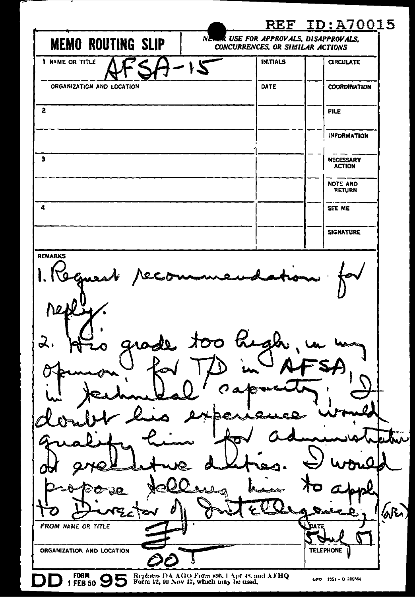|                                                                                                   | REF.                             | <u>ID:A70015</u>                   |
|---------------------------------------------------------------------------------------------------|----------------------------------|------------------------------------|
| NE.<br><b>MEMO ROUTING SLIP</b>                                                                   | CONCURRENCES, OR SIMILAR ACTIONS | R USE FOR APPROVALS, DISAPPROVALS, |
| 1 NAME OR TITLE<br>ی (                                                                            | <b>INITIALS</b>                  | <b>CIRCULATE</b>                   |
| ORGANIZATION AND LOCATION                                                                         | DATE                             | <b>COORDINATION</b>                |
| 2                                                                                                 |                                  | <b>FILE</b>                        |
|                                                                                                   |                                  | <b>INFORMATION</b>                 |
| з                                                                                                 |                                  | NECESSARY<br><b>ACTION</b>         |
|                                                                                                   |                                  | NOTE AND<br><b>RETURN</b>          |
| 4                                                                                                 |                                  | SEE ME                             |
|                                                                                                   |                                  | <b>SIGNATURE</b>                   |
| too high<br>ᆳ<br>奴<br>يسلعه<br>c,                                                                 | ستمتلص                           | $\langle \mathcal{N} \rangle$      |
| FROM NAME OR TITLE<br>ORGANIZATION AND LOCATION                                                   |                                  | DATE<br><b>TELEPHONE</b>           |
| FORM 95<br>Replaces DA AGO Form 895, 1 Apr 48, and AFHQ<br>Form 12, 10 Nov 17, which may be used. |                                  | GPO 1351 - O 826564                |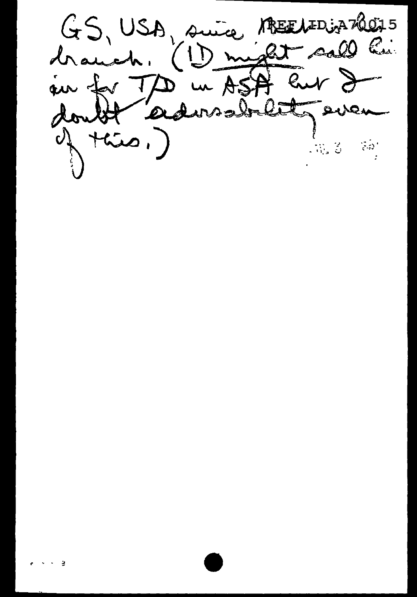ABEELIED ja 20075 GS, USA, suice Call his drawch.  $(1)$  might un ASA eur d au for  $\exists \nabla$ admobility  $\omega$  ,  $\lambda$  $\mathcal{N}_\mathrm{a}(\mathcal{Z})$  $\sim 0.5$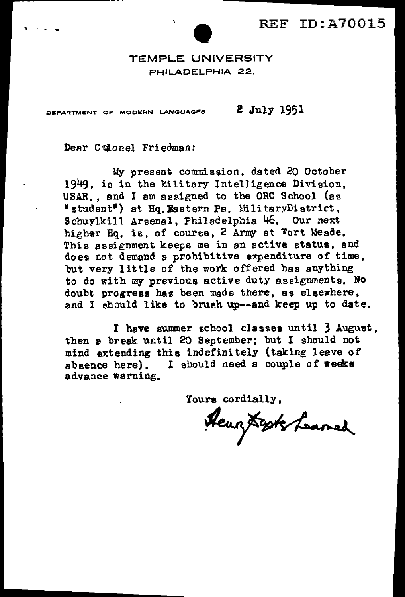

TEMPLE UNIVERSITY PHILADELPHIA 22.

DEPARTMENT OF MODERN LANGUAGES  $2$   $July$  1951

Dear Colonel Friedman:

My present commission, dated 20 October 1949. is in the Military Intelligence Division, USAR., and I am assigned to the ORC School (es "student") at Hq. Eastern Pa. MilitaryDistrict,<br>Schuvlkill Arsenal, Philadelphia 46. Our next Schuylkill Arsenal, Philadelphia 46. higher Hq. is, of course, 2 Army at Fort Meade. This assignment keeps me in an active status, and does not demand a prohibitive expenditure of time, but very little of the work offered has anything to do with my previous active duty assignments. No doubt progress has been made there, as elsewhere, and I should like to brush up--and keep up to date.

I have summer school classee until 3 August, then a break until 20 September; but I should not mind extending this indefinitely (taking leave *ot*  absence here). I should need a couple of weeks advance warning.

Yours cordially,<br>Heury Syste Laned